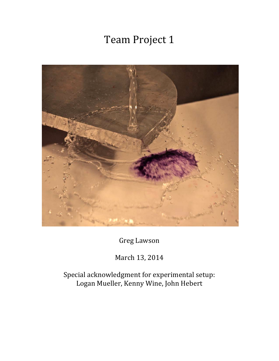# Team Project 1



Greg Lawson

March 13, 2014

Special acknowledgment for experimental setup: Logan Mueller, Kenny Wine, John Hebert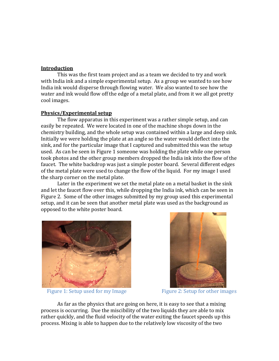### **Introduction**

This was the first team project and as a team we decided to try and work with India ink and a simple experimental setup. As a group we wanted to see how India ink would disperse through flowing water. We also wanted to see how the water and ink would flow off the edge of a metal plate, and from it we all got pretty cool images.

## **Physics/Experimental setup**

The flow apparatus in this experiment was a rather simple setup, and can easily be repeated. We were located in one of the machine shops down in the chemistry building, and the whole setup was contained within a large and deep sink. Initially we were holding the plate at an angle so the water would deflect into the sink, and for the particular image that I captured and submitted this was the setup used. As can be seen in Figure 1 someone was holding the plate while one person took photos and the other group members dropped the India ink into the flow of the faucet. The white backdrop was just a simple poster board. Several different edges of the metal plate were used to change the flow of the liquid. For my image I used the sharp corner on the metal plate.

Later in the experiment we set the metal plate on a metal basket in the sink and let the faucet flow over this, while dropping the India ink, which can be seen in Figure 2. Some of the other images submitted by my group used this experimental setup, and it can be seen that another metal plate was used as the background as opposed to the white poster board.



Figure 1: Setup used for my Image Figure 2: Setup for other images



As far as the physics that are going on here, it is easy to see that a mixing process is occurring. Due the miscibility of the two liquids they are able to mix rather quickly, and the fluid velocity of the water exiting the faucet speeds up this process. Mixing is able to happen due to the relatively low viscosity of the two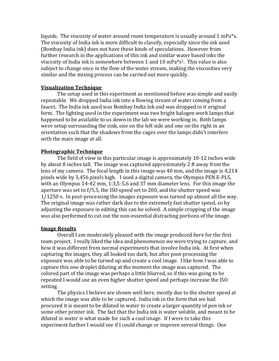liquids. The viscosity of water around room temperature is usually around 1 mPa\*s. The viscosity of India ink is more difficult to classify, especially since the ink used (Bombay India ink) does not have these kinds of speculations. However from further research in the applications of this ink and similar water based inks the viscosity of India ink is somewhere between 1 and 10 mPa\*s1. This value is also subject to change once in the flow of the water stream, making the viscosities very similar and the mixing process can be carried out more quickly.

## **Visualization Technique**

The setup used in this experiment as mentioned before was simple and easily repeatable. We dropped India ink into a flowing stream of water coming from a faucet. The India ink used was Bombay India ink and was dropped in it original form. The lighting used in the experiment was two bright halogen work lamps that happened to be available to us down in the lab we were working in. Both lamps were setup surrounding the sink, one on the left side and one on the right in an orientation such that the shadows from the cages over the lamps didn't interfere with the main image at all.

## **Photographic Technique**

The field of view in this particular image is approximately 10-12 inches wide by about 8 inches tall. The image was captured approximately 2 ft away from the lens of my camera. The focal length in this image was 40 mm, and the image is 4,214 pixels wide by 3,456 pixels high. I used a digital camera, the Olympus PEN E-PL5, with an Olympus 14-42 mm, 1:3,5-5,6 and 37 mm diameter lens. For this image the aperture was set to f/5.5, the ISO speed set to 200, and the shutter speed was 1/1250 s. In post-processing the images exposure was turned up almost all the way. The original image was rather dark due to the extremely fast shutter speed, so by adjusting the exposure in editing this can be solved. A simple cropping of the image was also performed to cut out the non-essential distracting portions of the image.

#### **Image Results**

Overall I am moderately pleased with the image produced here for the first team project. I really liked the idea and phenomenon we were trying to capture, and how it was different from normal experiments that involve India ink. At first when capturing the images, they all looked too dark, but after post-processing the exposure was able to be turned up and create a cool image. I like how I was able to capture this one droplet diluting at the moment the image was captured. The colored part of the image was perhaps a little blurred, so if this was going to be repeated I would use an even higher shutter speed and perhaps increase the ISO setting.

The physics I believe are shown well here, mostly due to the shutter speed at which the image was able to be captured. India ink in the form that we had procured it is meant to be diluted in water to create a larger quantity of pen ink or some other printer ink. The fact that the India ink is water soluble, and meant to be diluted in water is what made for such a cool image. If I were to take this experiment further I would see if I could change or improve several things. One